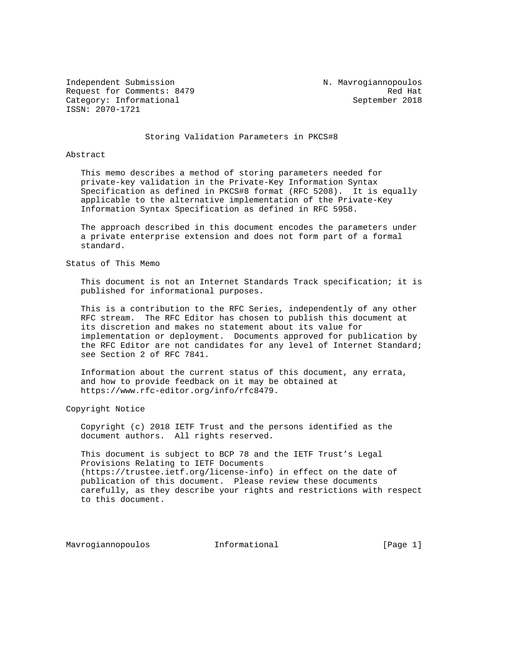Independent Submission N. Mavrogiannopoulos Request for Comments: 8479 Red Hat Category: Informational September 2018 ISSN: 2070-1721

#### Storing Validation Parameters in PKCS#8

#### Abstract

 This memo describes a method of storing parameters needed for private-key validation in the Private-Key Information Syntax Specification as defined in PKCS#8 format (RFC 5208). It is equally applicable to the alternative implementation of the Private-Key Information Syntax Specification as defined in RFC 5958.

 The approach described in this document encodes the parameters under a private enterprise extension and does not form part of a formal standard.

## Status of This Memo

 This document is not an Internet Standards Track specification; it is published for informational purposes.

 This is a contribution to the RFC Series, independently of any other RFC stream. The RFC Editor has chosen to publish this document at its discretion and makes no statement about its value for implementation or deployment. Documents approved for publication by the RFC Editor are not candidates for any level of Internet Standard; see Section 2 of RFC 7841.

 Information about the current status of this document, any errata, and how to provide feedback on it may be obtained at https://www.rfc-editor.org/info/rfc8479.

### Copyright Notice

 Copyright (c) 2018 IETF Trust and the persons identified as the document authors. All rights reserved.

 This document is subject to BCP 78 and the IETF Trust's Legal Provisions Relating to IETF Documents (https://trustee.ietf.org/license-info) in effect on the date of publication of this document. Please review these documents carefully, as they describe your rights and restrictions with respect to this document.

Mavrogiannopoulos informational informational [Page 1]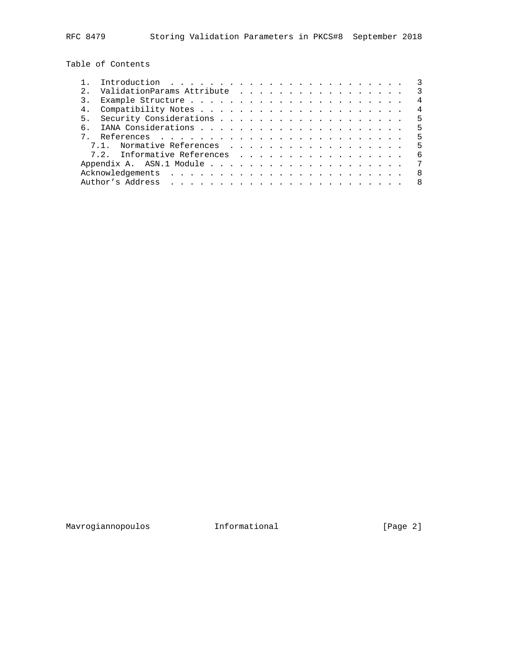Table of Contents

|                | Introduction $\ldots \ldots \ldots \ldots \ldots \ldots \ldots \ldots$ |                |
|----------------|------------------------------------------------------------------------|----------------|
|                | ValidationParams Attribute<br>$\overline{\phantom{a}3}$                |                |
| 3.             |                                                                        | 4              |
| 4 <sub>1</sub> |                                                                        | $\overline{4}$ |
|                | $-5$                                                                   |                |
| რ —            |                                                                        |                |
|                |                                                                        | $-5$           |
|                | - 5                                                                    |                |
|                | 7.2. Informative References                                            | - 6            |
|                |                                                                        | 7              |
|                |                                                                        | - 8            |
|                |                                                                        | 8 <sup>8</sup> |
|                |                                                                        |                |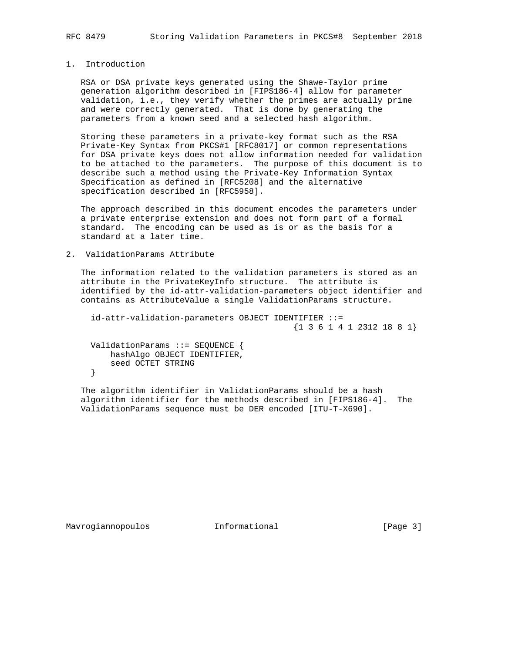## 1. Introduction

 RSA or DSA private keys generated using the Shawe-Taylor prime generation algorithm described in [FIPS186-4] allow for parameter validation, i.e., they verify whether the primes are actually prime and were correctly generated. That is done by generating the parameters from a known seed and a selected hash algorithm.

 Storing these parameters in a private-key format such as the RSA Private-Key Syntax from PKCS#1 [RFC8017] or common representations for DSA private keys does not allow information needed for validation to be attached to the parameters. The purpose of this document is to describe such a method using the Private-Key Information Syntax Specification as defined in [RFC5208] and the alternative specification described in [RFC5958].

 The approach described in this document encodes the parameters under a private enterprise extension and does not form part of a formal standard. The encoding can be used as is or as the basis for a standard at a later time.

### 2. ValidationParams Attribute

 The information related to the validation parameters is stored as an attribute in the PrivateKeyInfo structure. The attribute is identified by the id-attr-validation-parameters object identifier and contains as AttributeValue a single ValidationParams structure.

```
 id-attr-validation-parameters OBJECT IDENTIFIER ::=
                                       {1 3 6 1 4 1 2312 18 8 1}
```
 ValidationParams ::= SEQUENCE { hashAlgo OBJECT IDENTIFIER, seed OCTET STRING }

 The algorithm identifier in ValidationParams should be a hash algorithm identifier for the methods described in [FIPS186-4]. The ValidationParams sequence must be DER encoded [ITU-T-X690].

Mavrogiannopoulos informational (Page 3)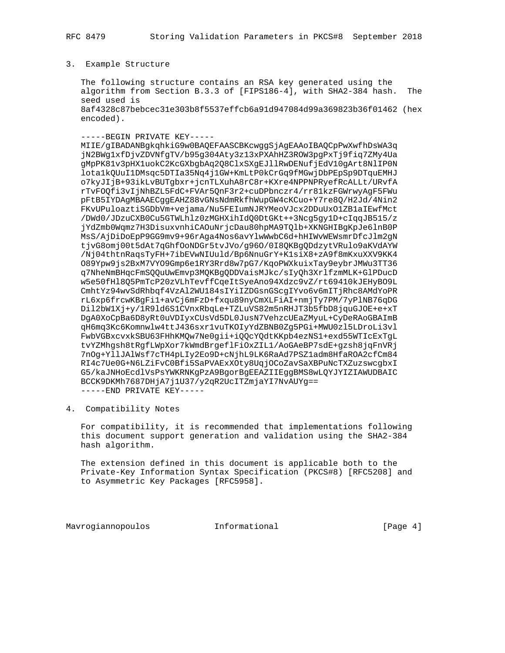### 3. Example Structure

 The following structure contains an RSA key generated using the algorithm from Section B.3.3 of [FIPS186-4], with SHA2-384 hash. The seed used is 8af4328c87bebcec31e303b8f5537effcb6a91d947084d99a369823b36f01462 (hex encoded).

-----BEGIN PRIVATE KEY-----

 MIIE/gIBADANBgkqhkiG9w0BAQEFAASCBKcwggSjAgEAAoIBAQCpPwXwfhDsWA3q jN2BWg1xfDjvZDVNfgTV/b95g304Aty3z13xPXAhHZ3ROW3pgPxTj9fiq7ZMy4Ua gMpPK81v3pHX1uokC2KcGXbgbAq2Q8ClxSXgEJllRwDENufjEdV10gArt8NlIP0N lota1kQUuI1DMsqc5DTIa35Nq4j1GW+KmLtP0kCrGq9fMGwjDbPEpSp9DTquEMHJ o7kyJIjB+93ikLvBUTgbxr+jcnTLXuhA8rC8r+KXre4NPPNPRyefRcALLt/URvfA rTvFOQfi3vIjNhBZL5FdC+FVAr5QnF3r2+cuDPbnczr4/rr81kzFGWrwyAgF5FWu pFtB5IYDAgMBAAECggEAHZ88vGNsNdmRkfhWupGW4cKCuo+Y7re8Q/H2Jd/4Nin2 FKvUPuloaztiSGDbVm+vejama/Nu5FEIumNJRYMeoVJcx2DDuUxO1ZB1aIEwfMct /DWd0/JDzuCXB0Cu5GTWLhlz0zMGHXihIdQ0DtGKt++3Ncg5gy1D+cIqqJB515/z jYdZmb0Wqmz7H3DisuxvnhiCAOuNrjcDau80hpMA9TQlb+XKNGHIBgKpJe6lnB0P MsS/AjDiDoEpP9GG9mv9+96rAga4Nos6avYlwWwbC6d+hHIWvWEWsmrDfcJlm2gN tjvG8omj00t5dAt7qGhfOoNDGr5tvJVo/g96O/0I8QKBgQDdzytVRulo9aKVdAYW /Nj04thtnRaqsTyFH+7ibEVwNIUuld/Bp6NnuGrY+K1siX8+zA9f8mKxuXXV9KK4 O89Ypw9js2BxM7VYO9Gmp6e1RY3Rrd8w7pG7/KqoPWXkuixTay9eybrJMWu3TT36 q7NheNmBHqcFmSQQuUwEmvp3MQKBgQDDVaisMJkc/sIyQh3XrlfzmMLK+GlPDucD w5e50fHl8Q5PmTcP20zVLhTevffCqeItSyeAno94Xdzc9vZ/rt69410kJEHyBO9L CmhtYz94wvSdRhbqf4VzAl2WU184sIYiIZDGsnGScgIYvo6v6mITjRhc8AMdYoPR rL6xp6frcwKBgFi1+avCj6mFzD+fxqu89nyCmXLFiAI+nmjTy7PM/7yPlNB76qDG Dil2bW1Xj+y/1R9ld6S1CVnxRbqLe+TZLuVS82m5nRHJT3b5fbD8jquGJOE+e+xT DgA0XoCpBa6D8yRt0uVDIyxCUsVd5DL0JusN7VehzcUEaZMyuL+CyDeRAoGBAImB qH6mq3Kc6Komnwlw4ttJ436sxr1vuTKOIyYdZBNB0Zg5PGi+MWU0zl5LDroLi3vl FwbVGBxcvxkSBU63FHhKMQw7Ne0gii+iQQcYQdtKKpb4ezNS1+exd55WTIcExTgL tvYZMhgsh8tRgfLWpXor7kWmdBrgeflFiOxZIL1/AoGAeBP7sdE+gzsh8jqFnVRj 7nOg+YllJAlWsf7cTH4pLIy2Eo9D+cNjhL9LK6RaAd7PSZ1adm8HfaROA2cfCm84 RI4c7Ue0G+N6LZiFvC0Bfi5SaPVAExXOty8UqjOCoZavSaXBPuNcTXZuzswcgbxI G5/kaJNHoEcdlVsPsYWKRNKgPzA9BgorBgEEAZIIEggBMS8wLQYJYIZIAWUDBAIC BCCK9DKMh7687DHjA7j1U37/y2qR2UcITZmjaYI7NvAUYg== -----END PRIVATE KEY-----

4. Compatibility Notes

 For compatibility, it is recommended that implementations following this document support generation and validation using the SHA2-384 hash algorithm.

 The extension defined in this document is applicable both to the Private-Key Information Syntax Specification (PKCS#8) [RFC5208] and to Asymmetric Key Packages [RFC5958].

Mavrogiannopoulos 1nformational 1999 [Page 4]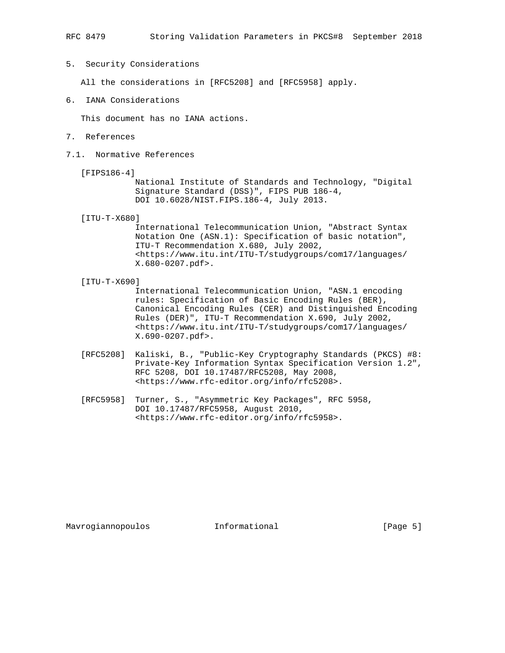5. Security Considerations

All the considerations in [RFC5208] and [RFC5958] apply.

6. IANA Considerations

This document has no IANA actions.

- 7. References
- 7.1. Normative References
	- [FIPS186-4]

 National Institute of Standards and Technology, "Digital Signature Standard (DSS)", FIPS PUB 186-4, DOI 10.6028/NIST.FIPS.186-4, July 2013.

[ITU-T-X680]

 International Telecommunication Union, "Abstract Syntax Notation One (ASN.1): Specification of basic notation", ITU-T Recommendation X.680, July 2002, <https://www.itu.int/ITU-T/studygroups/com17/languages/ X.680-0207.pdf>.

[ITU-T-X690]

 International Telecommunication Union, "ASN.1 encoding rules: Specification of Basic Encoding Rules (BER), Canonical Encoding Rules (CER) and Distinguished Encoding Rules (DER)", ITU-T Recommendation X.690, July 2002, <https://www.itu.int/ITU-T/studygroups/com17/languages/ X.690-0207.pdf>.

- [RFC5208] Kaliski, B., "Public-Key Cryptography Standards (PKCS) #8: Private-Key Information Syntax Specification Version 1.2", RFC 5208, DOI 10.17487/RFC5208, May 2008, <https://www.rfc-editor.org/info/rfc5208>.
- [RFC5958] Turner, S., "Asymmetric Key Packages", RFC 5958, DOI 10.17487/RFC5958, August 2010, <https://www.rfc-editor.org/info/rfc5958>.

Mavrogiannopoulos informational (Page 5)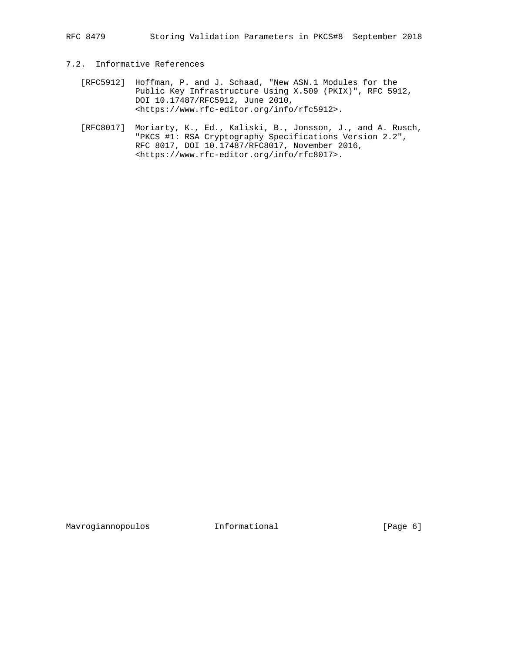RFC 8479 Storing Validation Parameters in PKCS#8 September 2018

# 7.2. Informative References

- [RFC5912] Hoffman, P. and J. Schaad, "New ASN.1 Modules for the Public Key Infrastructure Using X.509 (PKIX)", RFC 5912, DOI 10.17487/RFC5912, June 2010, <https://www.rfc-editor.org/info/rfc5912>.
- [RFC8017] Moriarty, K., Ed., Kaliski, B., Jonsson, J., and A. Rusch, "PKCS #1: RSA Cryptography Specifications Version 2.2", RFC 8017, DOI 10.17487/RFC8017, November 2016, <https://www.rfc-editor.org/info/rfc8017>.

Mavrogiannopoulos 1nformational 1999 [Page 6]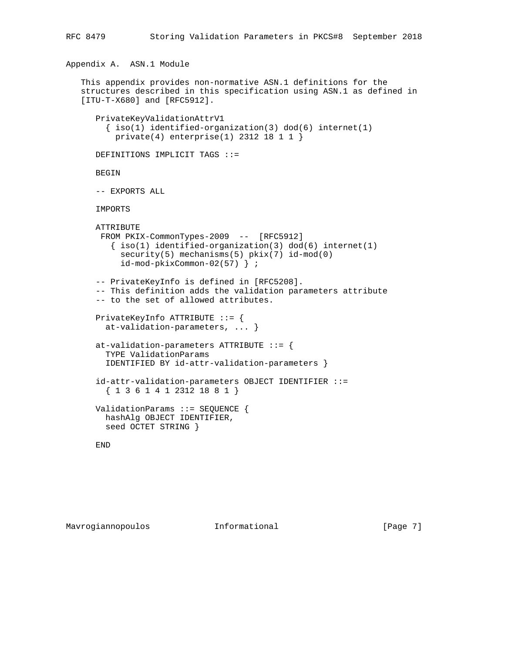```
Appendix A. ASN.1 Module
This appendix provides non-normative ASN.1 definitions for the
structures described in this specification using ASN.1 as defined in
[ITU-T-X680] and [RFC5912].
   PrivateKeyValidationAttrV1
    \{ iso(1) identified-organization(3) dod(6) internet(1)
      private(4) enterprise(1) 2312 18 1 1 }
   DEFINITIONS IMPLICIT TAGS ::=
   BEGIN
   -- EXPORTS ALL
   IMPORTS
   ATTRIBUTE
    FROM PKIX-CommonTypes-2009 -- [RFC5912]
     \{ \text{iso}(1) \text{ identified-organization}(3) \text{ dod}(6) \text{ internet}(1) \} security(5) mechanisms(5) pkix(7) id-mod(0)
        id-mod-pkixCommon-02(57) } ;
   -- PrivateKeyInfo is defined in [RFC5208].
   -- This definition adds the validation parameters attribute
   -- to the set of allowed attributes.
   PrivateKeyInfo ATTRIBUTE ::= {
     at-validation-parameters, ... }
   at-validation-parameters ATTRIBUTE ::= {
     TYPE ValidationParams
     IDENTIFIED BY id-attr-validation-parameters }
   id-attr-validation-parameters OBJECT IDENTIFIER ::=
```
RFC 8479 Storing Validation Parameters in PKCS#8 September 2018

```
Mavrogiannopoulos informational 1999 [Page 7]
```
END

{ 1 3 6 1 4 1 2312 18 8 1 }

 ValidationParams ::= SEQUENCE { hashAlg OBJECT IDENTIFIER,

seed OCTET STRING }